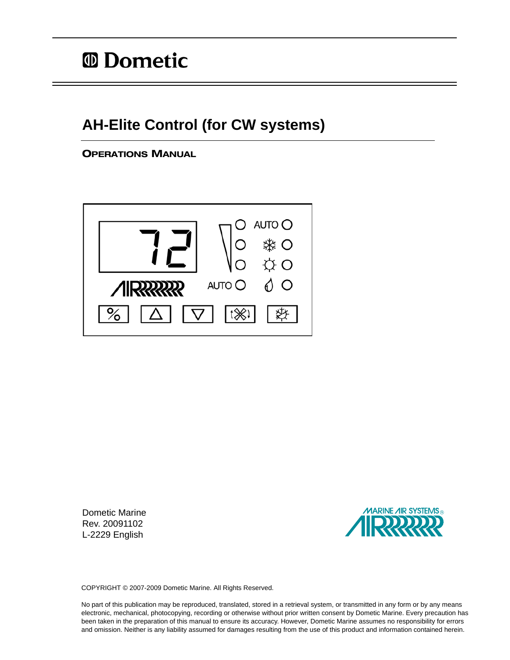## **AH-Elite Control (for CW systems)**

OPERATIONS MANUAL



Dometic Marine Rev. 20091102 L-2229 English



COPYRIGHT © 2007-2009 Dometic Marine. All Rights Reserved.

No part of this publication may be reproduced, translated, stored in a retrieval system, or transmitted in any form or by any means electronic, mechanical, photocopying, recording or otherwise without prior written consent by Dometic Marine. Every precaution has been taken in the preparation of this manual to ensure its accuracy. However, Dometic Marine assumes no responsibility for errors and omission. Neither is any liability assumed for damages resulting from the use of this product and information contained herein.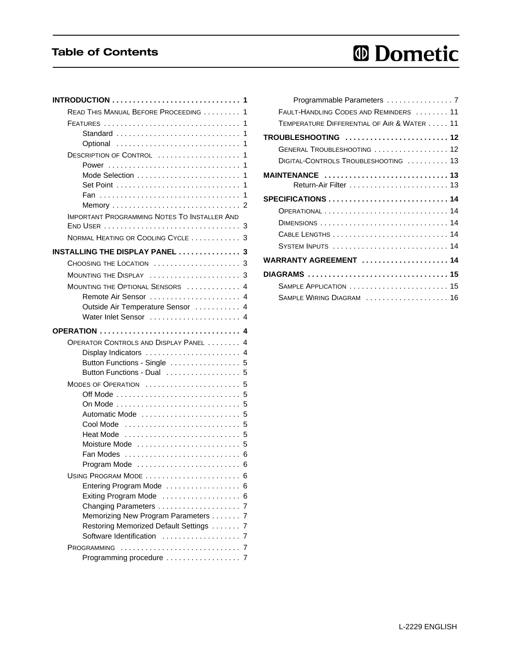## Table of Contents

| <b>ID</b> Dometic |  |
|-------------------|--|
|-------------------|--|

| <b>INTRODUCTION</b> 1                                                        |
|------------------------------------------------------------------------------|
| READ THIS MANUAL BEFORE PROCEEDING 1                                         |
|                                                                              |
|                                                                              |
| Optional                                                                     |
| DESCRIPTION OF CONTROL  1<br>Power  1                                        |
|                                                                              |
|                                                                              |
|                                                                              |
|                                                                              |
| <b>IMPORTANT PROGRAMMING NOTES TO INSTALLER AND</b>                          |
| NORMAL HEATING OR COOLING CYCLE $\ldots \ldots \ldots$                       |
| INSTALLING THE DISPLAY PANEL  3                                              |
| CHOOSING THE LOCATION  3                                                     |
| MOUNTING THE DISPLAY  3                                                      |
| MOUNTING THE OPTIONAL SENSORS $\, \ldots \, \ldots \, \ldots \, \ldots \, 4$ |
| Remote Air Sensor  4                                                         |
| Outside Air Temperature Sensor  4                                            |
| Water Inlet Sensor  4                                                        |
|                                                                              |
| OPERATOR CONTROLS AND DISPLAY PANEL  4                                       |
| Display Indicators  4<br>Button Functions - Single  5                        |
| Button Functions - Dual  5                                                   |
|                                                                              |
|                                                                              |
|                                                                              |
|                                                                              |
|                                                                              |
|                                                                              |
|                                                                              |
| Fan Modes  6<br>Program Mode  6                                              |
| USING PROGRAM MODE  6                                                        |
| Entering Program Mode  6                                                     |
| Exiting Program Mode  6                                                      |
| Changing Parameters<br>7                                                     |
| Memorizing New Program Parameters<br>7                                       |
| Restoring Memorized Default Settings  7                                      |
|                                                                              |
| PROGRAMMING<br>$\sim$                                                        |
| Programming procedure  7                                                     |

| FAULT-HANDLING CODES AND REMINDERS  11<br>TEMPERATURE DIFFERENTIAL OF AIR & WATER 11 |
|--------------------------------------------------------------------------------------|
| TROUBLESHOOTING  12                                                                  |
| GENERAL TROUBLESHOOTING  12                                                          |
| DIGITAL-CONTROLS TROUBLESHOOTING  13                                                 |
| MAINTENANCE  13                                                                      |
|                                                                                      |
| SPECIFICATIONS  14                                                                   |
|                                                                                      |
|                                                                                      |
|                                                                                      |
| SYSTEM INPUTS  14                                                                    |
| WARRANTY AGREEMENT  14                                                               |
| DIAGRAMS  15                                                                         |
| SAMPLE APPLICATION $\ldots \ldots \ldots \ldots \ldots \ldots \ldots 15$             |
| SAMPLE WIRING DIAGRAM  16                                                            |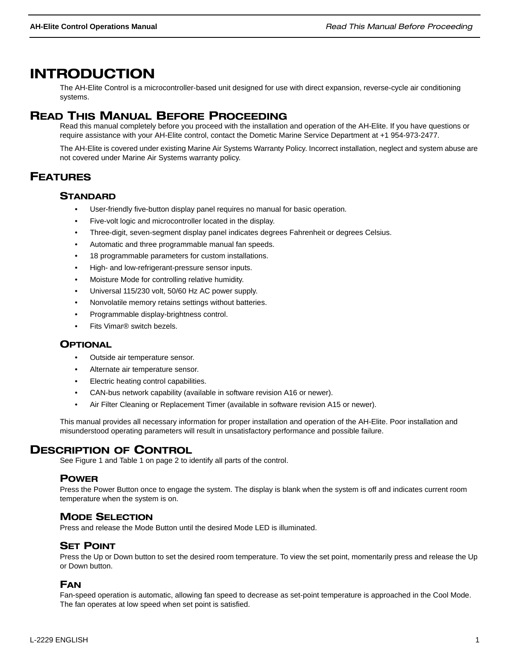## INTRODUCTION

The AH-Elite Control is a microcontroller-based unit designed for use with direct expansion, reverse-cycle air conditioning systems.

## READ THIS MANUAL BEFORE PROCEEDING

Read this manual completely before you proceed with the installation and operation of the AH-Elite. If you have questions or require assistance with your AH-Elite control, contact the Dometic Marine Service Department at +1 954-973-2477.

The AH-Elite is covered under existing Marine Air Systems Warranty Policy. Incorrect installation, neglect and system abuse are not covered under Marine Air Systems warranty policy.

## FEATURES

#### **STANDARD**

- User-friendly five-button display panel requires no manual for basic operation.
- Five-volt logic and microcontroller located in the display.
- Three-digit, seven-segment display panel indicates degrees Fahrenheit or degrees Celsius.
- Automatic and three programmable manual fan speeds.
- 18 programmable parameters for custom installations.
- High- and low-refrigerant-pressure sensor inputs.
- Moisture Mode for controlling relative humidity.
- Universal 115/230 volt, 50/60 Hz AC power supply.
- Nonvolatile memory retains settings without batteries.
- Programmable display-brightness control.
- Fits Vimar® switch bezels.

#### **OPTIONAL**

- Outside air temperature sensor.
- Alternate air temperature sensor.
- Electric heating control capabilities.
- CAN-bus network capability (available in software revision A16 or newer).
- Air Filter Cleaning or Replacement Timer (available in software revision A15 or newer).

This manual provides all necessary information for proper installation and operation of the AH-Elite. Poor installation and misunderstood operating parameters will result in unsatisfactory performance and possible failure.

## DESCRIPTION OF CONTROL

See Figure 1 and Table 1 on page 2 to identify all parts of the control.

### POWER

Press the Power Button once to engage the system. The display is blank when the system is off and indicates current room temperature when the system is on.

### MODE SELECTION

Press and release the Mode Button until the desired Mode LED is illuminated.

### **SET POINT**

Press the Up or Down button to set the desired room temperature. To view the set point, momentarily press and release the Up or Down button.

### FAN

Fan-speed operation is automatic, allowing fan speed to decrease as set-point temperature is approached in the Cool Mode. The fan operates at low speed when set point is satisfied.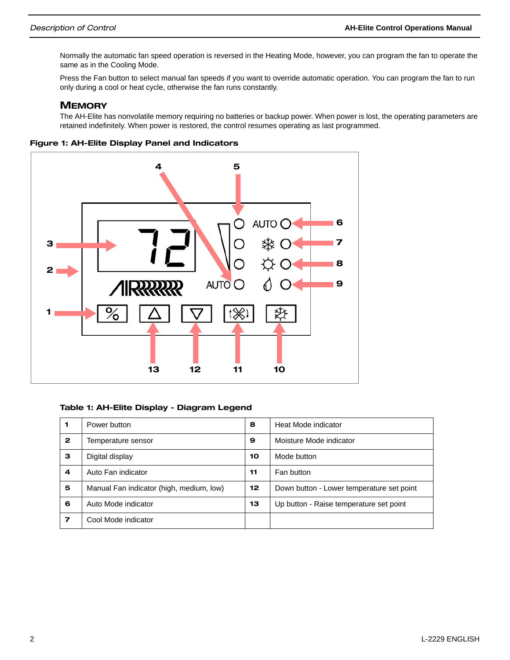Normally the automatic fan speed operation is reversed in the Heating Mode, however, you can program the fan to operate the same as in the Cooling Mode.

Press the Fan button to select manual fan speeds if you want to override automatic operation. You can program the fan to run only during a cool or heat cycle, otherwise the fan runs constantly.

#### **MEMORY**

The AH-Elite has nonvolatile memory requiring no batteries or backup power. When power is lost, the operating parameters are retained indefinitely. When power is restored, the control resumes operating as last programmed.

Figure 1: AH-Elite Display Panel and Indicators



#### Table 1: AH-Elite Display - Diagram Legend

|   | Power button                             | 8               | Heat Mode indicator                       |  |
|---|------------------------------------------|-----------------|-------------------------------------------|--|
| 2 | Temperature sensor                       | 9               | Moisture Mode indicator                   |  |
| з | Digital display                          | 10              | Mode button                               |  |
| 4 | Auto Fan indicator                       | 11              | Fan button                                |  |
| 5 | Manual Fan indicator (high, medium, low) | 12 <sub>2</sub> | Down button - Lower temperature set point |  |
| 6 | Auto Mode indicator                      | 13              | Up button - Raise temperature set point   |  |
| 7 | Cool Mode indicator                      |                 |                                           |  |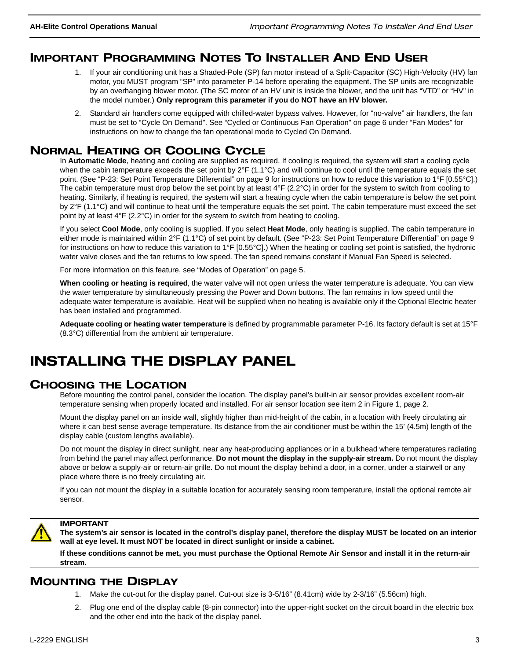## IMPORTANT PROGRAMMING NOTES TO INSTALLER AND END USER

- 1. If your air conditioning unit has a Shaded-Pole (SP) fan motor instead of a Split-Capacitor (SC) High-Velocity (HV) fan motor, you MUST program "SP" into parameter P-14 before operating the equipment. The SP units are recognizable by an overhanging blower motor. (The SC motor of an HV unit is inside the blower, and the unit has "VTD" or "HV" in the model number.) **Only reprogram this parameter if you do NOT have an HV blower.**
- 2. Standard air handlers come equipped with chilled-water bypass valves. However, for "no-valve" air handlers, the fan must be set to "Cycle On Demand". See "Cycled or Continuous Fan Operation" on page 6 under "Fan Modes" for instructions on how to change the fan operational mode to Cycled On Demand.

## NORMAL HEATING OR COOLING CYCLE

In **Automatic Mode**, heating and cooling are supplied as required. If cooling is required, the system will start a cooling cycle when the cabin temperature exceeds the set point by 2°F (1.1°C) and will continue to cool until the temperature equals the set point. (See "P-23: Set Point Temperature Differential" on page 9 for instructions on how to reduce this variation to 1°F [0.55°C].) The cabin temperature must drop below the set point by at least 4°F (2.2°C) in order for the system to switch from cooling to heating. Similarly, if heating is required, the system will start a heating cycle when the cabin temperature is below the set point by 2°F (1.1°C) and will continue to heat until the temperature equals the set point. The cabin temperature must exceed the set point by at least 4°F (2.2°C) in order for the system to switch from heating to cooling.

If you select **Cool Mode**, only cooling is supplied. If you select **Heat Mode**, only heating is supplied. The cabin temperature in either mode is maintained within 2°F (1.1°C) of set point by default. (See "P-23: Set Point Temperature Differential" on page 9 for instructions on how to reduce this variation to 1°F [0.55°C].) When the heating or cooling set point is satisfied, the hydronic water valve closes and the fan returns to low speed. The fan speed remains constant if Manual Fan Speed is selected.

For more information on this feature, see "Modes of Operation" on page 5.

**When cooling or heating is required**, the water valve will not open unless the water temperature is adequate. You can view the water temperature by simultaneously pressing the Power and Down buttons. The fan remains in low speed until the adequate water temperature is available. Heat will be supplied when no heating is available only if the Optional Electric heater has been installed and programmed.

**Adequate cooling or heating water temperature** is defined by programmable parameter P-16. Its factory default is set at 15°F (8.3°C) differential from the ambient air temperature.

## INSTALLING THE DISPLAY PANEL

## CHOOSING THE LOCATION

Before mounting the control panel, consider the location. The display panel's built-in air sensor provides excellent room-air temperature sensing when properly located and installed. For air sensor location see item 2 in Figure 1, page 2.

Mount the display panel on an inside wall, slightly higher than mid-height of the cabin, in a location with freely circulating air where it can best sense average temperature. Its distance from the air conditioner must be within the 15' (4.5m) length of the display cable (custom lengths available).

Do not mount the display in direct sunlight, near any heat-producing appliances or in a bulkhead where temperatures radiating from behind the panel may affect performance. **Do not mount the display in the supply-air stream.** Do not mount the display above or below a supply-air or return-air grille. Do not mount the display behind a door, in a corner, under a stairwell or any place where there is no freely circulating air.

If you can not mount the display in a suitable location for accurately sensing room temperature, install the optional remote air sensor.



#### IMPORTANT

**The system's air sensor is located in the control's display panel, therefore the display MUST be located on an interior wall at eye level. It must NOT be located in direct sunlight or inside a cabinet.**

**If these conditions cannot be met, you must purchase the Optional Remote Air Sensor and install it in the return-air stream.**

## MOUNTING THE DISPLAY

- 1. Make the cut-out for the display panel. Cut-out size is 3-5/16" (8.41cm) wide by 2-3/16" (5.56cm) high.
- 2. Plug one end of the display cable (8-pin connector) into the upper-right socket on the circuit board in the electric box and the other end into the back of the display panel.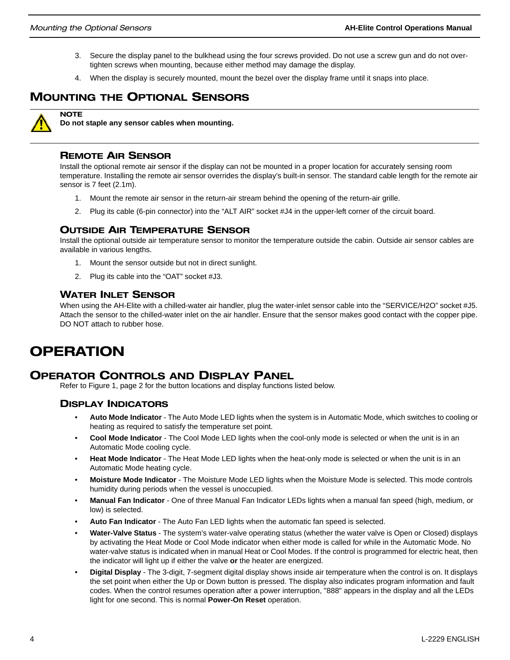- 3. Secure the display panel to the bulkhead using the four screws provided. Do not use a screw gun and do not overtighten screws when mounting, because either method may damage the display.
- 4. When the display is securely mounted, mount the bezel over the display frame until it snaps into place.

## MOUNTING THE OPTIONAL SENSORS



**NOTE** 

**Do not staple any sensor cables when mounting.**

#### REMOTE AIR SENSOR

Install the optional remote air sensor if the display can not be mounted in a proper location for accurately sensing room temperature. Installing the remote air sensor overrides the display's built-in sensor. The standard cable length for the remote air sensor is 7 feet (2.1m).

- 1. Mount the remote air sensor in the return-air stream behind the opening of the return-air grille.
- 2. Plug its cable (6-pin connector) into the "ALT AIR" socket #J4 in the upper-left corner of the circuit board.

### OUTSIDE AIR TEMPERATURE SENSOR

Install the optional outside air temperature sensor to monitor the temperature outside the cabin. Outside air sensor cables are available in various lengths.

- 1. Mount the sensor outside but not in direct sunlight.
- 2. Plug its cable into the "OAT" socket #J3.

#### WATER INLET SENSOR

When using the AH-Elite with a chilled-water air handler, plug the water-inlet sensor cable into the "SERVICE/H2O" socket #J5. Attach the sensor to the chilled-water inlet on the air handler. Ensure that the sensor makes good contact with the copper pipe. DO NOT attach to rubber hose.

## OPERATION

## OPERATOR CONTROLS AND DISPLAY PANEL

Refer to Figure 1, page 2 for the button locations and display functions listed below.

#### DISPLAY INDICATORS

- **Auto Mode Indicator**  The Auto Mode LED lights when the system is in Automatic Mode, which switches to cooling or heating as required to satisfy the temperature set point.
- **Cool Mode Indicator**  The Cool Mode LED lights when the cool-only mode is selected or when the unit is in an Automatic Mode cooling cycle.
- **Heat Mode Indicator**  The Heat Mode LED lights when the heat-only mode is selected or when the unit is in an Automatic Mode heating cycle.
- **Moisture Mode Indicator**  The Moisture Mode LED lights when the Moisture Mode is selected. This mode controls humidity during periods when the vessel is unoccupied.
- **Manual Fan Indicator** One of three Manual Fan Indicator LEDs lights when a manual fan speed (high, medium, or low) is selected.
- **Auto Fan Indicator** The Auto Fan LED lights when the automatic fan speed is selected.
- **Water-Valve Status** The system's water-valve operating status (whether the water valve is Open or Closed) displays by activating the Heat Mode or Cool Mode indicator when either mode is called for while in the Automatic Mode. No water-valve status is indicated when in manual Heat or Cool Modes. If the control is programmed for electric heat, then the indicator will light up if either the valve **or** the heater are energized.
- **Digital Display**  The 3-digit, 7-segment digital display shows inside air temperature when the control is on. It displays the set point when either the Up or Down button is pressed. The display also indicates program information and fault codes. When the control resumes operation after a power interruption, "888" appears in the display and all the LEDs light for one second. This is normal **Power-On Reset** operation.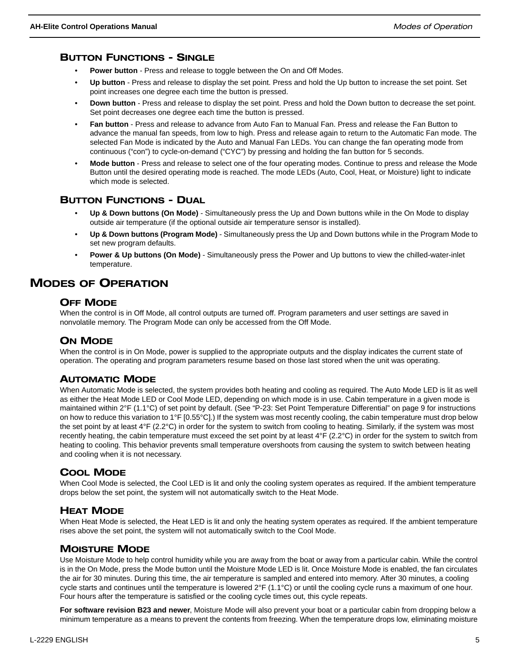#### BUTTON FUNCTIONS - SINGLE

- **Power button** Press and release to toggle between the On and Off Modes.
- **Up button** Press and release to display the set point. Press and hold the Up button to increase the set point. Set point increases one degree each time the button is pressed.
- **Down button**  Press and release to display the set point. Press and hold the Down button to decrease the set point. Set point decreases one degree each time the button is pressed.
- **Fan button** Press and release to advance from Auto Fan to Manual Fan. Press and release the Fan Button to advance the manual fan speeds, from low to high. Press and release again to return to the Automatic Fan mode. The selected Fan Mode is indicated by the Auto and Manual Fan LEDs. You can change the fan operating mode from continuous ("con") to cycle-on-demand ("CYC") by pressing and holding the fan button for 5 seconds.
- **Mode button** Press and release to select one of the four operating modes. Continue to press and release the Mode Button until the desired operating mode is reached. The mode LEDs (Auto, Cool, Heat, or Moisture) light to indicate which mode is selected.

## BUTTON FUNCTIONS - DUAL

- **Up & Down buttons (On Mode)** Simultaneously press the Up and Down buttons while in the On Mode to display outside air temperature (if the optional outside air temperature sensor is installed).
- **Up & Down buttons (Program Mode)** Simultaneously press the Up and Down buttons while in the Program Mode to set new program defaults.
- **Power & Up buttons (On Mode)** Simultaneously press the Power and Up buttons to view the chilled-water-inlet temperature.

## MODES OF OPERATION

#### OFF MODE

When the control is in Off Mode, all control outputs are turned off. Program parameters and user settings are saved in nonvolatile memory. The Program Mode can only be accessed from the Off Mode.

### ON MODE

When the control is in On Mode, power is supplied to the appropriate outputs and the display indicates the current state of operation. The operating and program parameters resume based on those last stored when the unit was operating.

## AUTOMATIC MODE

When Automatic Mode is selected, the system provides both heating and cooling as required. The Auto Mode LED is lit as well as either the Heat Mode LED or Cool Mode LED, depending on which mode is in use. Cabin temperature in a given mode is maintained within 2°F (1.1°C) of set point by default. (See "P-23: Set Point Temperature Differential" on page 9 for instructions on how to reduce this variation to 1°F [0.55°C].) If the system was most recently cooling, the cabin temperature must drop below the set point by at least 4°F (2.2°C) in order for the system to switch from cooling to heating. Similarly, if the system was most recently heating, the cabin temperature must exceed the set point by at least 4°F (2.2°C) in order for the system to switch from heating to cooling. This behavior prevents small temperature overshoots from causing the system to switch between heating and cooling when it is not necessary.

## COOL MODE

When Cool Mode is selected, the Cool LED is lit and only the cooling system operates as required. If the ambient temperature drops below the set point, the system will not automatically switch to the Heat Mode.

### HEAT MODE

When Heat Mode is selected, the Heat LED is lit and only the heating system operates as required. If the ambient temperature rises above the set point, the system will not automatically switch to the Cool Mode.

### MOISTURE MODE

Use Moisture Mode to help control humidity while you are away from the boat or away from a particular cabin. While the control is in the On Mode, press the Mode button until the Moisture Mode LED is lit. Once Moisture Mode is enabled, the fan circulates the air for 30 minutes. During this time, the air temperature is sampled and entered into memory. After 30 minutes, a cooling cycle starts and continues until the temperature is lowered 2°F (1.1°C) or until the cooling cycle runs a maximum of one hour. Four hours after the temperature is satisfied or the cooling cycle times out, this cycle repeats.

**For software revision B23 and newer**, Moisture Mode will also prevent your boat or a particular cabin from dropping below a minimum temperature as a means to prevent the contents from freezing. When the temperature drops low, eliminating moisture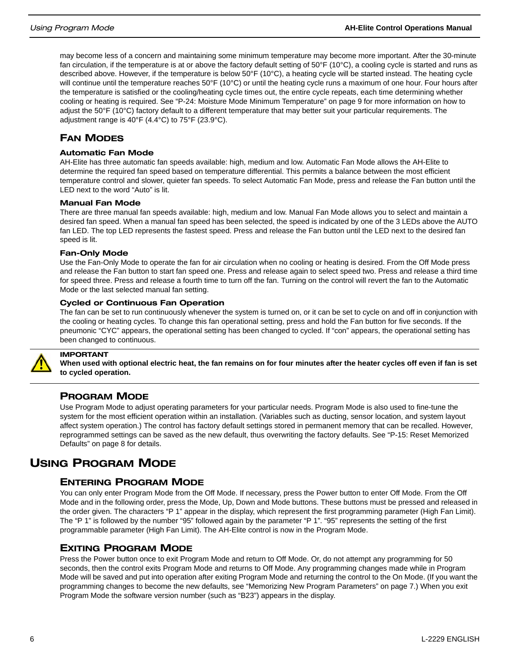may become less of a concern and maintaining some minimum temperature may become more important. After the 30-minute fan circulation, if the temperature is at or above the factory default setting of 50°F (10°C), a cooling cycle is started and runs as described above. However, if the temperature is below 50°F (10°C), a heating cycle will be started instead. The heating cycle will continue until the temperature reaches 50°F (10°C) or until the heating cycle runs a maximum of one hour. Four hours after the temperature is satisfied or the cooling/heating cycle times out, the entire cycle repeats, each time determining whether cooling or heating is required. See "P-24: Moisture Mode Minimum Temperature" on page 9 for more information on how to adjust the 50°F (10°C) factory default to a different temperature that may better suit your particular requirements. The adjustment range is 40°F (4.4°C) to 75°F (23.9°C).

## FAN MODES

#### Automatic Fan Mode

AH-Elite has three automatic fan speeds available: high, medium and low. Automatic Fan Mode allows the AH-Elite to determine the required fan speed based on temperature differential. This permits a balance between the most efficient temperature control and slower, quieter fan speeds. To select Automatic Fan Mode, press and release the Fan button until the LED next to the word "Auto" is lit.

#### Manual Fan Mode

There are three manual fan speeds available: high, medium and low. Manual Fan Mode allows you to select and maintain a desired fan speed. When a manual fan speed has been selected, the speed is indicated by one of the 3 LEDs above the AUTO fan LED. The top LED represents the fastest speed. Press and release the Fan button until the LED next to the desired fan speed is lit.

#### Fan-Only Mode

Use the Fan-Only Mode to operate the fan for air circulation when no cooling or heating is desired. From the Off Mode press and release the Fan button to start fan speed one. Press and release again to select speed two. Press and release a third time for speed three. Press and release a fourth time to turn off the fan. Turning on the control will revert the fan to the Automatic Mode or the last selected manual fan setting.

#### Cycled or Continuous Fan Operation

The fan can be set to run continuously whenever the system is turned on, or it can be set to cycle on and off in conjunction with the cooling or heating cycles. To change this fan operational setting, press and hold the Fan button for five seconds. If the pneumonic "CYC" appears, the operational setting has been changed to cycled. If "con" appears, the operational setting has been changed to continuous.



#### IMPORTANT

**When used with optional electric heat, the fan remains on for four minutes after the heater cycles off even if fan is set to cycled operation.**

#### PROGRAM MODE

Use Program Mode to adjust operating parameters for your particular needs. Program Mode is also used to fine-tune the system for the most efficient operation within an installation. (Variables such as ducting, sensor location, and system layout affect system operation.) The control has factory default settings stored in permanent memory that can be recalled. However, reprogrammed settings can be saved as the new default, thus overwriting the factory defaults. See "P-15: Reset Memorized Defaults" on page 8 for details.

## USING PROGRAM MODE

#### ENTERING PROGRAM MODE

You can only enter Program Mode from the Off Mode. If necessary, press the Power button to enter Off Mode. From the Off Mode and in the following order, press the Mode, Up, Down and Mode buttons. These buttons must be pressed and released in the order given. The characters "P 1" appear in the display, which represent the first programming parameter (High Fan Limit). The "P 1" is followed by the number "95" followed again by the parameter "P 1". "95" represents the setting of the first programmable parameter (High Fan Limit). The AH-Elite control is now in the Program Mode.

#### EXITING PROGRAM MODE

Press the Power button once to exit Program Mode and return to Off Mode. Or, do not attempt any programming for 50 seconds, then the control exits Program Mode and returns to Off Mode. Any programming changes made while in Program Mode will be saved and put into operation after exiting Program Mode and returning the control to the On Mode. (If you want the programming changes to become the new defaults, see "Memorizing New Program Parameters" on page 7.) When you exit Program Mode the software version number (such as "B23") appears in the display.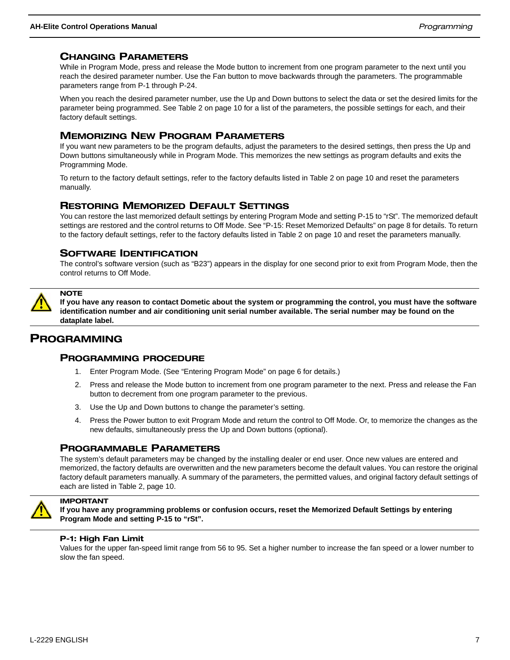#### CHANGING PARAMETERS

While in Program Mode, press and release the Mode button to increment from one program parameter to the next until you reach the desired parameter number. Use the Fan button to move backwards through the parameters. The programmable parameters range from P-1 through P-24.

When you reach the desired parameter number, use the Up and Down buttons to select the data or set the desired limits for the parameter being programmed. See Table 2 on page 10 for a list of the parameters, the possible settings for each, and their factory default settings.

#### MEMORIZING NEW PROGRAM PARAMETERS

If you want new parameters to be the program defaults, adjust the parameters to the desired settings, then press the Up and Down buttons simultaneously while in Program Mode. This memorizes the new settings as program defaults and exits the Programming Mode.

To return to the factory default settings, refer to the factory defaults listed in Table 2 on page 10 and reset the parameters manually.

### RESTORING MEMORIZED DEFAULT SETTINGS

You can restore the last memorized default settings by entering Program Mode and setting P-15 to "rSt". The memorized default settings are restored and the control returns to Off Mode. See "P-15: Reset Memorized Defaults" on page 8 for details. To return to the factory default settings, refer to the factory defaults listed in Table 2 on page 10 and reset the parameters manually.

#### SOFTWARE IDENTIFICATION

The control's software version (such as "B23") appears in the display for one second prior to exit from Program Mode, then the control returns to Off Mode.



**NOTE** 

**If you have any reason to contact Dometic about the system or programming the control, you must have the software identification number and air conditioning unit serial number available. The serial number may be found on the dataplate label.**

## PROGRAMMING

#### PROGRAMMING PROCEDURE

- 1. Enter Program Mode. (See "Entering Program Mode" on page 6 for details.)
- 2. Press and release the Mode button to increment from one program parameter to the next. Press and release the Fan button to decrement from one program parameter to the previous.
- 3. Use the Up and Down buttons to change the parameter's setting.
- 4. Press the Power button to exit Program Mode and return the control to Off Mode. Or, to memorize the changes as the new defaults, simultaneously press the Up and Down buttons (optional).

#### PROGRAMMABLE PARAMETERS

The system's default parameters may be changed by the installing dealer or end user. Once new values are entered and memorized, the factory defaults are overwritten and the new parameters become the default values. You can restore the original factory default parameters manually. A summary of the parameters, the permitted values, and original factory default settings of each are listed in Table 2, page 10.



#### IMPORTANT

**If you have any programming problems or confusion occurs, reset the Memorized Default Settings by entering Program Mode and setting P-15 to "rSt".**

#### P-1: High Fan Limit

Values for the upper fan-speed limit range from 56 to 95. Set a higher number to increase the fan speed or a lower number to slow the fan speed.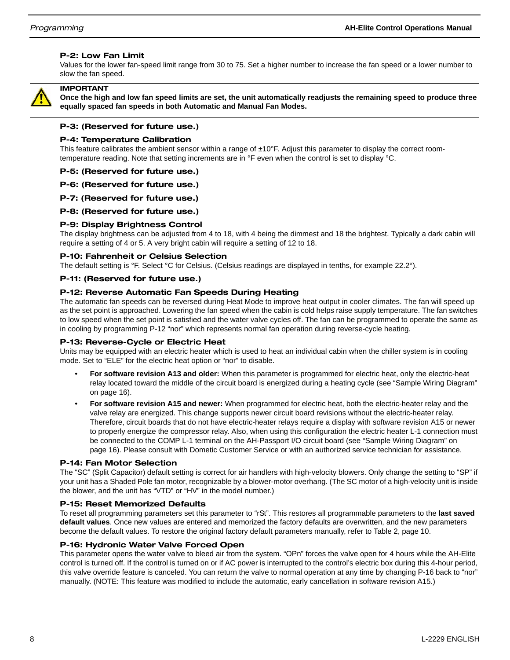#### P-2: Low Fan Limit

Values for the lower fan-speed limit range from 30 to 75. Set a higher number to increase the fan speed or a lower number to slow the fan speed.



#### IMPORTANT

**Once the high and low fan speed limits are set, the unit automatically readjusts the remaining speed to produce three equally spaced fan speeds in both Automatic and Manual Fan Modes.**

#### P-3: (Reserved for future use.)

#### P-4: Temperature Calibration

This feature calibrates the ambient sensor within a range of  $\pm 10^{\circ}$ F. Adjust this parameter to display the correct roomtemperature reading. Note that setting increments are in °F even when the control is set to display °C.

P-5: (Reserved for future use.)

P-6: (Reserved for future use.)

P-7: (Reserved for future use.)

P-8: (Reserved for future use.)

#### P-9: Display Brightness Control

The display brightness can be adjusted from 4 to 18, with 4 being the dimmest and 18 the brightest. Typically a dark cabin will require a setting of 4 or 5. A very bright cabin will require a setting of 12 to 18.

#### P-10: Fahrenheit or Celsius Selection

The default setting is °F. Select °C for Celsius. (Celsius readings are displayed in tenths, for example 22.2°).

#### P-11: (Reserved for future use.)

#### P-12: Reverse Automatic Fan Speeds During Heating

The automatic fan speeds can be reversed during Heat Mode to improve heat output in cooler climates. The fan will speed up as the set point is approached. Lowering the fan speed when the cabin is cold helps raise supply temperature. The fan switches to low speed when the set point is satisfied and the water valve cycles off. The fan can be programmed to operate the same as in cooling by programming P-12 "nor" which represents normal fan operation during reverse-cycle heating.

#### P-13: Reverse-Cycle or Electric Heat

Units may be equipped with an electric heater which is used to heat an individual cabin when the chiller system is in cooling mode. Set to "ELE" for the electric heat option or "nor" to disable.

- **For software revision A13 and older:** When this parameter is programmed for electric heat, only the electric-heat relay located toward the middle of the circuit board is energized during a heating cycle (see "Sample Wiring Diagram" on page 16).
- **For software revision A15 and newer:** When programmed for electric heat, both the electric-heater relay and the valve relay are energized. This change supports newer circuit board revisions without the electric-heater relay. Therefore, circuit boards that do not have electric-heater relays require a display with software revision A15 or newer to properly energize the compressor relay. Also, when using this configuration the electric heater L-1 connection must be connected to the COMP L-1 terminal on the AH-Passport I/O circuit board (see "Sample Wiring Diagram" on page 16). Please consult with Dometic Customer Service or with an authorized service technician for assistance.

#### P-14: Fan Motor Selection

The "SC" (Split Capacitor) default setting is correct for air handlers with high-velocity blowers. Only change the setting to "SP" if your unit has a Shaded Pole fan motor, recognizable by a blower-motor overhang. (The SC motor of a high-velocity unit is inside the blower, and the unit has "VTD" or "HV" in the model number.)

#### P-15: Reset Memorized Defaults

To reset all programming parameters set this parameter to "rSt". This restores all programmable parameters to the **last saved default values**. Once new values are entered and memorized the factory defaults are overwritten, and the new parameters become the default values. To restore the original factory default parameters manually, refer to Table 2, page 10.

#### P-16: Hydronic Water Valve Forced Open

This parameter opens the water valve to bleed air from the system. "OPn" forces the valve open for 4 hours while the AH-Elite control is turned off. If the control is turned on or if AC power is interrupted to the control's electric box during this 4-hour period, this valve override feature is canceled. You can return the valve to normal operation at any time by changing P-16 back to "nor" manually. (NOTE: This feature was modified to include the automatic, early cancellation in software revision A15.)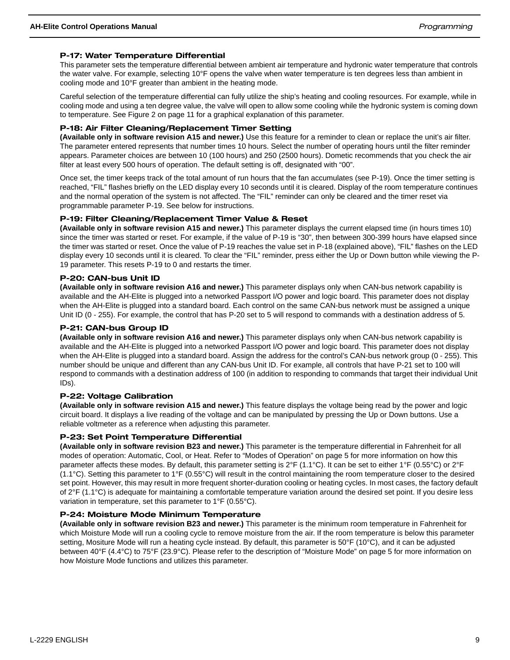#### P-17: Water Temperature Differential

This parameter sets the temperature differential between ambient air temperature and hydronic water temperature that controls the water valve. For example, selecting 10°F opens the valve when water temperature is ten degrees less than ambient in cooling mode and 10°F greater than ambient in the heating mode.

Careful selection of the temperature differential can fully utilize the ship's heating and cooling resources. For example, while in cooling mode and using a ten degree value, the valve will open to allow some cooling while the hydronic system is coming down to temperature. See Figure 2 on page 11 for a graphical explanation of this parameter.

#### P-18: Air Filter Cleaning/Replacement Timer Setting

**(Available only in software revision A15 and newer.)** Use this feature for a reminder to clean or replace the unit's air filter. The parameter entered represents that number times 10 hours. Select the number of operating hours until the filter reminder appears. Parameter choices are between 10 (100 hours) and 250 (2500 hours). Dometic recommends that you check the air filter at least every 500 hours of operation. The default setting is off, designated with "00".

Once set, the timer keeps track of the total amount of run hours that the fan accumulates (see P-19). Once the timer setting is reached, "FIL" flashes briefly on the LED display every 10 seconds until it is cleared. Display of the room temperature continues and the normal operation of the system is not affected. The "FIL" reminder can only be cleared and the timer reset via programmable parameter P-19. See below for instructions.

#### P-19: Filter Cleaning/Replacement Timer Value & Reset

**(Available only in software revision A15 and newer.)** This parameter displays the current elapsed time (in hours times 10) since the timer was started or reset. For example, if the value of P-19 is "30", then between 300-399 hours have elapsed since the timer was started or reset. Once the value of P-19 reaches the value set in P-18 (explained above), "FIL" flashes on the LED display every 10 seconds until it is cleared. To clear the "FIL" reminder, press either the Up or Down button while viewing the P-19 parameter. This resets P-19 to 0 and restarts the timer.

#### P-20: CAN-bus Unit ID

**(Available only in software revision A16 and newer.)** This parameter displays only when CAN-bus network capability is available and the AH-Elite is plugged into a networked Passport I/O power and logic board. This parameter does not display when the AH-Elite is plugged into a standard board. Each control on the same CAN-bus network must be assigned a unique Unit ID (0 - 255). For example, the control that has P-20 set to 5 will respond to commands with a destination address of 5.

#### P-21: CAN-bus Group ID

**(Available only in software revision A16 and newer.)** This parameter displays only when CAN-bus network capability is available and the AH-Elite is plugged into a networked Passport I/O power and logic board. This parameter does not display when the AH-Elite is plugged into a standard board. Assign the address for the control's CAN-bus network group (0 - 255). This number should be unique and different than any CAN-bus Unit ID. For example, all controls that have P-21 set to 100 will respond to commands with a destination address of 100 (in addition to responding to commands that target their individual Unit IDs).

#### P-22: Voltage Calibration

**(Available only in software revision A15 and newer.)** This feature displays the voltage being read by the power and logic circuit board. It displays a live reading of the voltage and can be manipulated by pressing the Up or Down buttons. Use a reliable voltmeter as a reference when adjusting this parameter.

#### P-23: Set Point Temperature Differential

**(Available only in software revision B23 and newer.)** This parameter is the temperature differential in Fahrenheit for all modes of operation: Automatic, Cool, or Heat. Refer to "Modes of Operation" on page 5 for more information on how this parameter affects these modes. By default, this parameter setting is 2°F (1.1°C). It can be set to either 1°F (0.55°C) or 2°F (1.1°C). Setting this parameter to 1°F (0.55°C) will result in the control maintaining the room temperature closer to the desired set point. However, this may result in more frequent shorter-duration cooling or heating cycles. In most cases, the factory default of 2°F (1.1°C) is adequate for maintaining a comfortable temperature variation around the desired set point. If you desire less variation in temperature, set this parameter to 1°F (0.55°C).

#### P-24: Moisture Mode Minimum Temperature

**(Available only in software revision B23 and newer.)** This parameter is the minimum room temperature in Fahrenheit for which Moisture Mode will run a cooling cycle to remove moisture from the air. If the room temperature is below this parameter setting, Mositure Mode will run a heating cycle instead. By default, this parameter is 50°F (10°C), and it can be adjusted between 40°F (4.4°C) to 75°F (23.9°C). Please refer to the description of "Moisture Mode" on page 5 for more information on how Moisture Mode functions and utilizes this parameter.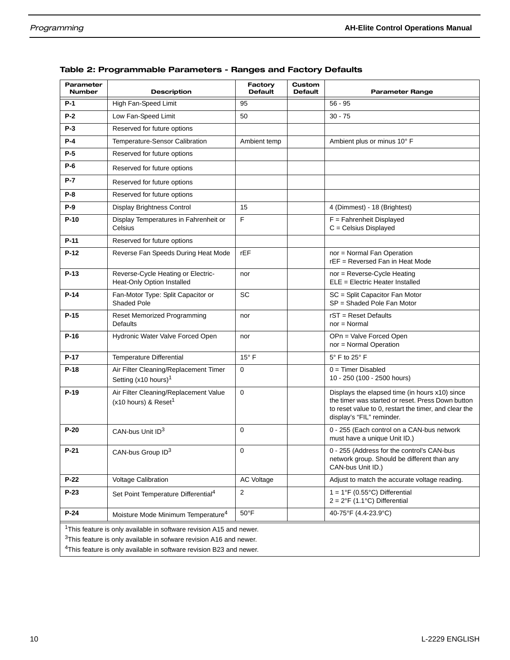| Parameter<br><b>Number</b> | <b>Description</b>                                                              | Factory<br><b>Default</b> | Custom<br><b>Default</b> | <b>Parameter Range</b>                                                                                                                                                                    |  |  |
|----------------------------|---------------------------------------------------------------------------------|---------------------------|--------------------------|-------------------------------------------------------------------------------------------------------------------------------------------------------------------------------------------|--|--|
| $P-1$                      | High Fan-Speed Limit                                                            | 95                        |                          | $56 - 95$                                                                                                                                                                                 |  |  |
| $P-2$                      | Low Fan-Speed Limit                                                             | 50                        |                          | $30 - 75$                                                                                                                                                                                 |  |  |
| P-3                        | Reserved for future options                                                     |                           |                          |                                                                                                                                                                                           |  |  |
| $P-4$                      | Temperature-Sensor Calibration                                                  | Ambient temp              |                          | Ambient plus or minus 10° F                                                                                                                                                               |  |  |
| $P-5$                      | Reserved for future options                                                     |                           |                          |                                                                                                                                                                                           |  |  |
| $P-6$                      | Reserved for future options                                                     |                           |                          |                                                                                                                                                                                           |  |  |
| $P-7$                      | Reserved for future options                                                     |                           |                          |                                                                                                                                                                                           |  |  |
| $P-8$                      | Reserved for future options                                                     |                           |                          |                                                                                                                                                                                           |  |  |
| P-9                        | <b>Display Brightness Control</b>                                               | 15                        |                          | 4 (Dimmest) - 18 (Brightest)                                                                                                                                                              |  |  |
| $P-10$                     | Display Temperatures in Fahrenheit or<br>Celsius                                | F                         |                          | $F =$ Fahrenheit Displayed<br>$C =$ Celsius Displayed                                                                                                                                     |  |  |
| $P-11$                     | Reserved for future options                                                     |                           |                          |                                                                                                                                                                                           |  |  |
| $P-12$                     | Reverse Fan Speeds During Heat Mode                                             | rEF                       |                          | nor = Normal Fan Operation<br>rEF = Reversed Fan in Heat Mode                                                                                                                             |  |  |
| P-13                       | Reverse-Cycle Heating or Electric-<br>Heat-Only Option Installed                | nor                       |                          | nor = Reverse-Cycle Heating<br>ELE = Electric Heater Installed                                                                                                                            |  |  |
| $P-14$                     | Fan-Motor Type: Split Capacitor or<br><b>Shaded Pole</b>                        | <b>SC</b>                 |                          | SC = Split Capacitor Fan Motor<br>SP = Shaded Pole Fan Motor                                                                                                                              |  |  |
| $P-15$                     | Reset Memorized Programming<br><b>Defaults</b>                                  | nor                       |                          | $rST =$ Reset Defaults<br>$nor = Normal$                                                                                                                                                  |  |  |
| $P-16$                     | Hydronic Water Valve Forced Open                                                | nor                       |                          | OPn = Valve Forced Open<br>nor = Normal Operation                                                                                                                                         |  |  |
| $P-17$                     | Temperature Differential                                                        | 15°F                      |                          | 5° F to 25° F                                                                                                                                                                             |  |  |
| $P-18$                     | Air Filter Cleaning/Replacement Timer<br>Setting (x10 hours) <sup>1</sup>       | $\mathbf 0$               |                          | $0 =$ Timer Disabled<br>10 - 250 (100 - 2500 hours)                                                                                                                                       |  |  |
| $P-19$                     | Air Filter Cleaning/Replacement Value<br>(x10 hours) & Reset <sup>1</sup>       | $\mathbf 0$               |                          | Displays the elapsed time (in hours x10) since<br>the timer was started or reset. Press Down button<br>to reset value to 0, restart the timer, and clear the<br>display's "FIL" reminder. |  |  |
| $P-20$                     | CAN-bus Unit ID <sup>3</sup>                                                    | $\Omega$                  |                          | 0 - 255 (Each control on a CAN-bus network<br>must have a unique Unit ID.)                                                                                                                |  |  |
| $P-21$                     | CAN-bus Group ID <sup>3</sup>                                                   | 0                         |                          | 0 - 255 (Address for the control's CAN-bus<br>network group. Should be different than any<br>CAN-bus Unit ID.)                                                                            |  |  |
| $P-22$                     | <b>Voltage Calibration</b>                                                      | AC Voltage                |                          | Adjust to match the accurate voltage reading.                                                                                                                                             |  |  |
| $P-23$                     | Set Point Temperature Differential <sup>4</sup>                                 | 2                         |                          | $1 = 1^{\circ}F (0.55^{\circ}C)$ Differential<br>$2 = 2^{\circ}F(1.1^{\circ}C)$ Differential                                                                                              |  |  |
| $P-24$                     | Moisture Mode Minimum Temperature <sup>4</sup>                                  | $50^{\circ}$ F            |                          | 40-75°F (4.4-23.9°C)                                                                                                                                                                      |  |  |
|                            | <sup>1</sup> This feature is only available in software revision A15 and newer. |                           |                          |                                                                                                                                                                                           |  |  |

#### Table 2: Programmable Parameters - Ranges and Factory Defaults

<sup>3</sup>This feature is only available in sofware revision A16 and newer.

4This feature is only available in software revision B23 and newer.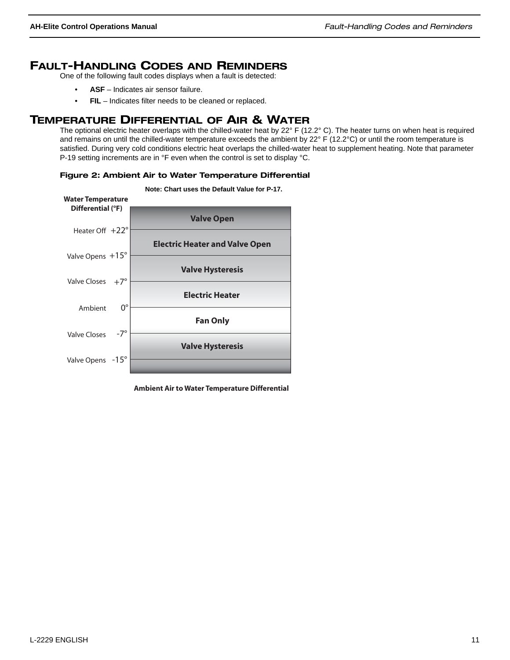## FAULT-HANDLING CODES AND REMINDERS

One of the following fault codes displays when a fault is detected:

- **ASF** Indicates air sensor failure.
- **FIL** Indicates filter needs to be cleaned or replaced.

## TEMPERATURE DIFFERENTIAL OF AIR & WATER

The optional electric heater overlaps with the chilled-water heat by 22° F (12.2° C). The heater turns on when heat is required and remains on until the chilled-water temperature exceeds the ambient by 22° F (12.2°C) or until the room temperature is satisfied. During very cold conditions electric heat overlaps the chilled-water heat to supplement heating. Note that parameter P-19 setting increments are in °F even when the control is set to display °C.



#### Figure 2: Ambient Air to Water Temperature Differential

**Ambient Air to Water Temperature Differential**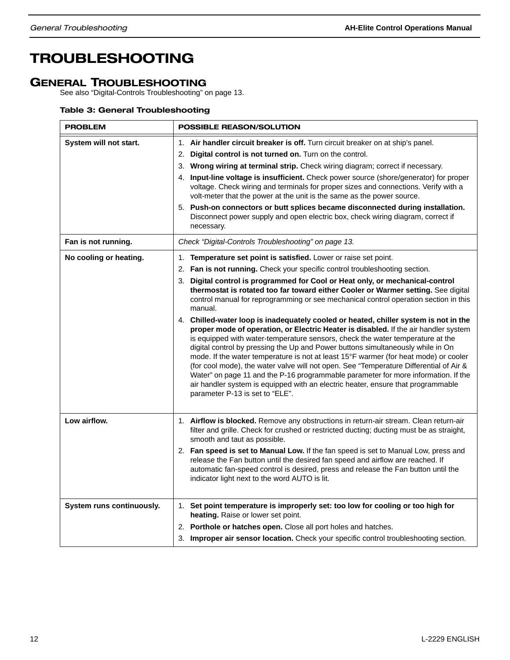## TROUBLESHOOTING

## GENERAL TROUBLESHOOTING

See also "Digital-Controls Troubleshooting" on page 13.

#### Table 3: General Troubleshooting

| <b>PROBLEM</b>            | <b>POSSIBLE REASON/SOLUTION</b>                                                                                                                                                                                                                                                                                                                                                                                                                                                                                                                                                                                                                                                                                                                 |  |  |
|---------------------------|-------------------------------------------------------------------------------------------------------------------------------------------------------------------------------------------------------------------------------------------------------------------------------------------------------------------------------------------------------------------------------------------------------------------------------------------------------------------------------------------------------------------------------------------------------------------------------------------------------------------------------------------------------------------------------------------------------------------------------------------------|--|--|
| System will not start.    | 1. Air handler circuit breaker is off. Turn circuit breaker on at ship's panel.<br>2. Digital control is not turned on. Turn on the control.                                                                                                                                                                                                                                                                                                                                                                                                                                                                                                                                                                                                    |  |  |
|                           | 3. Wrong wiring at terminal strip. Check wiring diagram; correct if necessary.                                                                                                                                                                                                                                                                                                                                                                                                                                                                                                                                                                                                                                                                  |  |  |
|                           | 4. Input-line voltage is insufficient. Check power source (shore/generator) for proper<br>voltage. Check wiring and terminals for proper sizes and connections. Verify with a<br>volt-meter that the power at the unit is the same as the power source.                                                                                                                                                                                                                                                                                                                                                                                                                                                                                         |  |  |
|                           | 5. Push-on connectors or butt splices became disconnected during installation.<br>Disconnect power supply and open electric box, check wiring diagram, correct if<br>necessary.                                                                                                                                                                                                                                                                                                                                                                                                                                                                                                                                                                 |  |  |
| Fan is not running.       | Check "Digital-Controls Troubleshooting" on page 13.                                                                                                                                                                                                                                                                                                                                                                                                                                                                                                                                                                                                                                                                                            |  |  |
| No cooling or heating.    | 1. Temperature set point is satisfied. Lower or raise set point.                                                                                                                                                                                                                                                                                                                                                                                                                                                                                                                                                                                                                                                                                |  |  |
|                           | 2. Fan is not running. Check your specific control troubleshooting section.                                                                                                                                                                                                                                                                                                                                                                                                                                                                                                                                                                                                                                                                     |  |  |
|                           | 3. Digital control is programmed for Cool or Heat only, or mechanical-control<br>thermostat is rotated too far toward either Cooler or Warmer setting. See digital<br>control manual for reprogramming or see mechanical control operation section in this<br>manual.                                                                                                                                                                                                                                                                                                                                                                                                                                                                           |  |  |
|                           | 4. Chilled-water loop is inadequately cooled or heated, chiller system is not in the<br>proper mode of operation, or Electric Heater is disabled. If the air handler system<br>is equipped with water-temperature sensors, check the water temperature at the<br>digital control by pressing the Up and Power buttons simultaneously while in On<br>mode. If the water temperature is not at least 15°F warmer (for heat mode) or cooler<br>(for cool mode), the water valve will not open. See "Temperature Differential of Air &<br>Water" on page 11 and the P-16 programmable parameter for more information. If the<br>air handler system is equipped with an electric heater, ensure that programmable<br>parameter P-13 is set to "ELE". |  |  |
| Low airflow.              | 1. Airflow is blocked. Remove any obstructions in return-air stream. Clean return-air<br>filter and grille. Check for crushed or restricted ducting; ducting must be as straight,<br>smooth and taut as possible.                                                                                                                                                                                                                                                                                                                                                                                                                                                                                                                               |  |  |
|                           | 2. Fan speed is set to Manual Low. If the fan speed is set to Manual Low, press and<br>release the Fan button until the desired fan speed and airflow are reached. If<br>automatic fan-speed control is desired, press and release the Fan button until the<br>indicator light next to the word AUTO is lit.                                                                                                                                                                                                                                                                                                                                                                                                                                    |  |  |
| System runs continuously. | 1. Set point temperature is improperly set: too low for cooling or too high for<br>heating. Raise or lower set point.                                                                                                                                                                                                                                                                                                                                                                                                                                                                                                                                                                                                                           |  |  |
|                           | 2. Porthole or hatches open. Close all port holes and hatches.                                                                                                                                                                                                                                                                                                                                                                                                                                                                                                                                                                                                                                                                                  |  |  |
|                           | 3. Improper air sensor location. Check your specific control troubleshooting section.                                                                                                                                                                                                                                                                                                                                                                                                                                                                                                                                                                                                                                                           |  |  |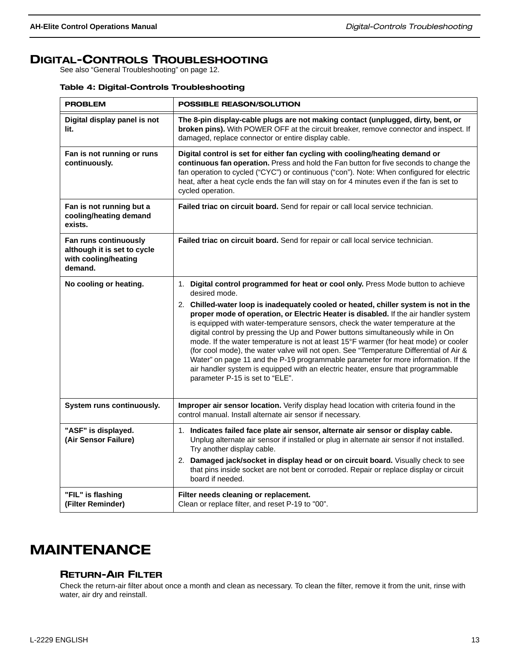## DIGITAL-CONTROLS TROUBLESHOOTING

See also "General Troubleshooting" on page 12.

| <b>PROBLEM</b>                                                                          | <b>POSSIBLE REASON/SOLUTION</b>                                                                                                                                                                                                                                                                                                                                                                                                                                                                                                                                                                                                                                                                                                                                                                                                                       |
|-----------------------------------------------------------------------------------------|-------------------------------------------------------------------------------------------------------------------------------------------------------------------------------------------------------------------------------------------------------------------------------------------------------------------------------------------------------------------------------------------------------------------------------------------------------------------------------------------------------------------------------------------------------------------------------------------------------------------------------------------------------------------------------------------------------------------------------------------------------------------------------------------------------------------------------------------------------|
| Digital display panel is not<br>lit.                                                    | The 8-pin display-cable plugs are not making contact (unplugged, dirty, bent, or<br>broken pins). With POWER OFF at the circuit breaker, remove connector and inspect. If<br>damaged, replace connector or entire display cable.                                                                                                                                                                                                                                                                                                                                                                                                                                                                                                                                                                                                                      |
| Fan is not running or runs<br>continuously.                                             | Digital control is set for either fan cycling with cooling/heating demand or<br>continuous fan operation. Press and hold the Fan button for five seconds to change the<br>fan operation to cycled ("CYC") or continuous ("con"). Note: When configured for electric<br>heat, after a heat cycle ends the fan will stay on for 4 minutes even if the fan is set to<br>cycled operation.                                                                                                                                                                                                                                                                                                                                                                                                                                                                |
| Fan is not running but a<br>cooling/heating demand<br>exists.                           | Failed triac on circuit board. Send for repair or call local service technician.                                                                                                                                                                                                                                                                                                                                                                                                                                                                                                                                                                                                                                                                                                                                                                      |
| Fan runs continuously<br>although it is set to cycle<br>with cooling/heating<br>demand. | Failed triac on circuit board. Send for repair or call local service technician.                                                                                                                                                                                                                                                                                                                                                                                                                                                                                                                                                                                                                                                                                                                                                                      |
| No cooling or heating.                                                                  | 1. Digital control programmed for heat or cool only. Press Mode button to achieve<br>desired mode.<br>2. Chilled-water loop is inadequately cooled or heated, chiller system is not in the<br>proper mode of operation, or Electric Heater is disabled. If the air handler system<br>is equipped with water-temperature sensors, check the water temperature at the<br>digital control by pressing the Up and Power buttons simultaneously while in On<br>mode. If the water temperature is not at least 15°F warmer (for heat mode) or cooler<br>(for cool mode), the water valve will not open. See "Temperature Differential of Air &<br>Water" on page 11 and the P-19 programmable parameter for more information. If the<br>air handler system is equipped with an electric heater, ensure that programmable<br>parameter P-15 is set to "ELE". |
| System runs continuously.                                                               | Improper air sensor location. Verify display head location with criteria found in the<br>control manual. Install alternate air sensor if necessary.                                                                                                                                                                                                                                                                                                                                                                                                                                                                                                                                                                                                                                                                                                   |
| "ASF" is displayed.<br>(Air Sensor Failure)                                             | 1. Indicates failed face plate air sensor, alternate air sensor or display cable.<br>Unplug alternate air sensor if installed or plug in alternate air sensor if not installed.<br>Try another display cable.<br>2. Damaged jack/socket in display head or on circuit board. Visually check to see<br>that pins inside socket are not bent or corroded. Repair or replace display or circuit<br>board if needed.                                                                                                                                                                                                                                                                                                                                                                                                                                      |
| "FIL" is flashing<br>(Filter Reminder)                                                  | Filter needs cleaning or replacement.<br>Clean or replace filter, and reset P-19 to "00".                                                                                                                                                                                                                                                                                                                                                                                                                                                                                                                                                                                                                                                                                                                                                             |

## MAINTENANCE

## RETURN-AIR FILTER

Check the return-air filter about once a month and clean as necessary. To clean the filter, remove it from the unit, rinse with water, air dry and reinstall.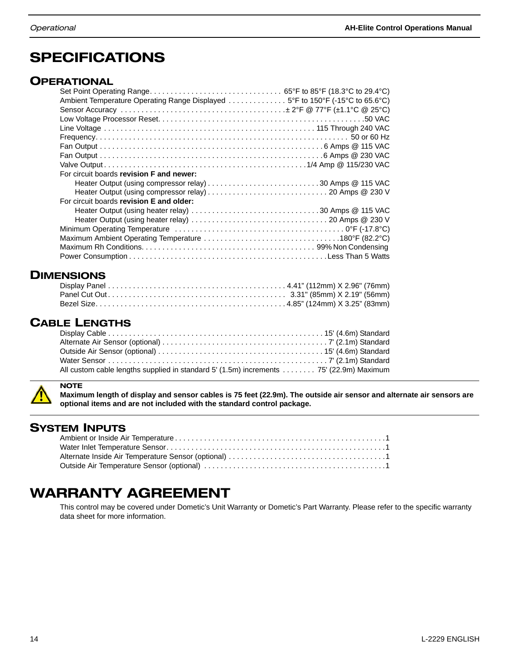## **SPECIFICATIONS**

## **OPERATIONAL**

| Ambient Temperature Operating Range Displayed 5°F to 150°F (-15°C to 65.6°C) |  |
|------------------------------------------------------------------------------|--|
|                                                                              |  |
|                                                                              |  |
|                                                                              |  |
|                                                                              |  |
|                                                                              |  |
|                                                                              |  |
|                                                                              |  |
| For circuit boards revision F and newer:                                     |  |
|                                                                              |  |
|                                                                              |  |
| For circuit boards revision E and older:                                     |  |
|                                                                              |  |
|                                                                              |  |
|                                                                              |  |
|                                                                              |  |
|                                                                              |  |
|                                                                              |  |
|                                                                              |  |

## **DIMENSIONS**

## CABLE LENGTHS

| All custom cable lengths supplied in standard 5' (1.5m) increments 75' (22.9m) Maximum |  |
|----------------------------------------------------------------------------------------|--|



**Maximum length of display and sensor cables is 75 feet (22.9m). The outside air sensor and alternate air sensors are optional items and are not included with the standard control package.**

## SYSTEM INPUTS

## WARRANTY AGREEMENT

This control may be covered under Dometic's Unit Warranty or Dometic's Part Warranty. Please refer to the specific warranty data sheet for more information.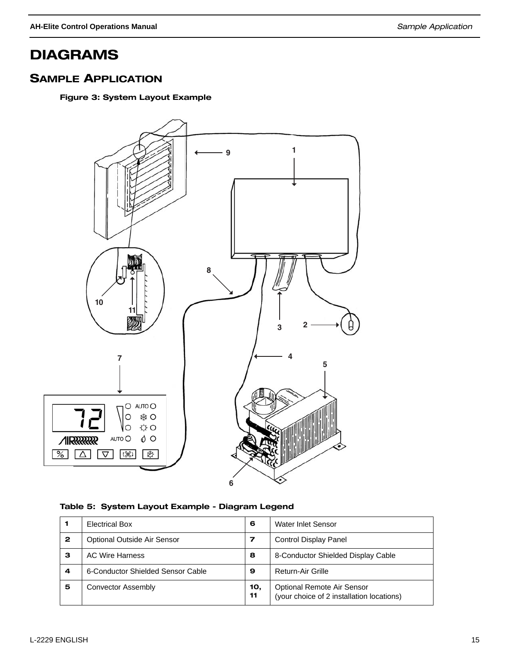## DIAGRAMS

## SAMPLE APPLICATION

Figure 3: System Layout Example



#### Table 5: System Layout Example - Diagram Legend

|   | <b>Electrical Box</b>             | 6         | Water Inlet Sensor                                                      |
|---|-----------------------------------|-----------|-------------------------------------------------------------------------|
| 2 | Optional Outside Air Sensor       |           | Control Display Panel                                                   |
| з | AC Wire Harness                   | 8         | 8-Conductor Shielded Display Cable                                      |
| 4 | 6-Conductor Shielded Sensor Cable | 9         | Return-Air Grille                                                       |
| 5 | <b>Convector Assembly</b>         | 10.<br>11 | Optional Remote Air Sensor<br>(your choice of 2 installation locations) |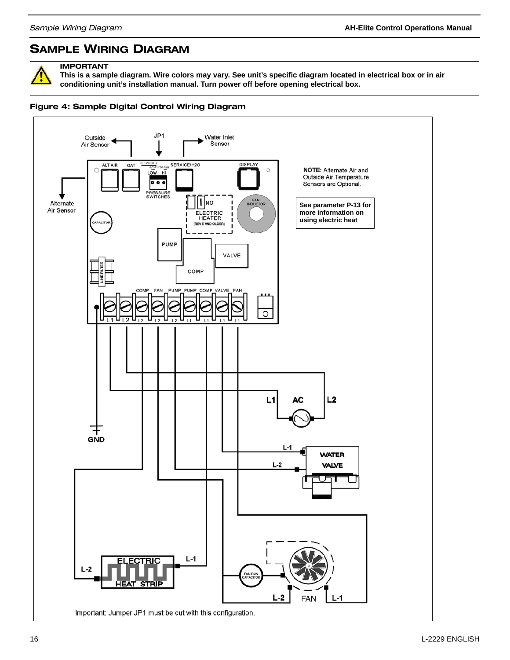## SAMPLE WIRING DIAGRAM



IMPORTANT

**This is a sample diagram. Wire colors may vary. See unit's specific diagram located in electrical box or in air conditioning unit's installation manual. Turn power off before opening electrical box.**

#### Figure 4: Sample Digital Control Wiring Diagram

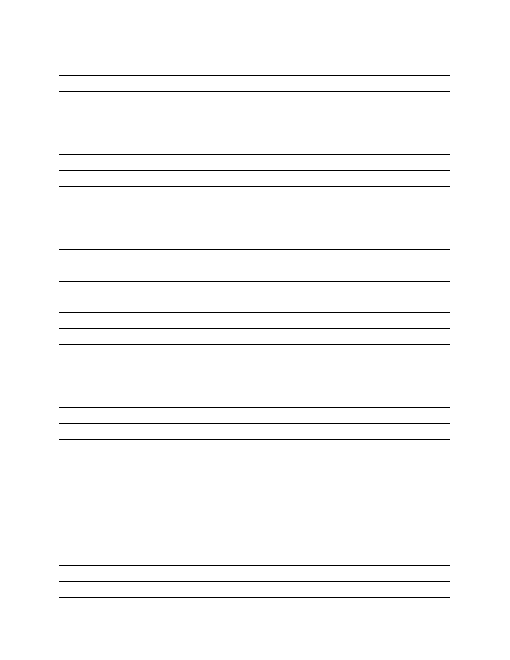